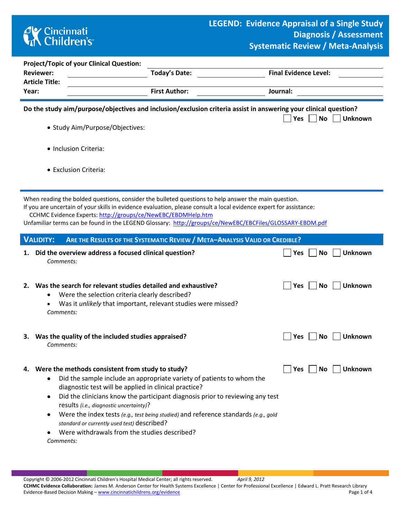## **CK** Cincinnati<br> **Children's**

| <b>Project/Topic of your Clinical Question:</b>                                                                                                                                           |                                                                                                                                                                                                                                                                                                                                                                                                                                                                                                      |                                     |  |  |  |  |  |  |  |
|-------------------------------------------------------------------------------------------------------------------------------------------------------------------------------------------|------------------------------------------------------------------------------------------------------------------------------------------------------------------------------------------------------------------------------------------------------------------------------------------------------------------------------------------------------------------------------------------------------------------------------------------------------------------------------------------------------|-------------------------------------|--|--|--|--|--|--|--|
| <b>Reviewer:</b><br><b>Article Title:</b>                                                                                                                                                 | <b>Today's Date:</b>                                                                                                                                                                                                                                                                                                                                                                                                                                                                                 | <b>Final Evidence Level:</b>        |  |  |  |  |  |  |  |
| Year:                                                                                                                                                                                     | <b>First Author:</b>                                                                                                                                                                                                                                                                                                                                                                                                                                                                                 | Journal:                            |  |  |  |  |  |  |  |
| Do the study aim/purpose/objectives and inclusion/exclusion criteria assist in answering your clinical question?<br>Yes<br><b>No</b><br><b>Unknown</b><br>• Study Aim/Purpose/Objectives: |                                                                                                                                                                                                                                                                                                                                                                                                                                                                                                      |                                     |  |  |  |  |  |  |  |
| • Inclusion Criteria:                                                                                                                                                                     |                                                                                                                                                                                                                                                                                                                                                                                                                                                                                                      |                                     |  |  |  |  |  |  |  |
| • Exclusion Criteria:                                                                                                                                                                     |                                                                                                                                                                                                                                                                                                                                                                                                                                                                                                      |                                     |  |  |  |  |  |  |  |
|                                                                                                                                                                                           | When reading the bolded questions, consider the bulleted questions to help answer the main question.<br>If you are uncertain of your skills in evidence evaluation, please consult a local evidence expert for assistance:<br>CCHMC Evidence Experts: http://groups/ce/NewEBC/EBDMHelp.htm<br>Unfamiliar terms can be found in the LEGEND Glossary: http://groups/ce/NewEBC/EBCFiles/GLOSSARY-EBDM.pdf                                                                                               |                                     |  |  |  |  |  |  |  |
| <b>VALIDITY:</b>                                                                                                                                                                          | ARE THE RESULTS OF THE SYSTEMATIC REVIEW / META-ANALYSIS VALID OR CREDIBLE?                                                                                                                                                                                                                                                                                                                                                                                                                          |                                     |  |  |  |  |  |  |  |
| 1.<br>Comments:                                                                                                                                                                           | Did the overview address a focused clinical question?                                                                                                                                                                                                                                                                                                                                                                                                                                                | <b>No</b><br><b>Unknown</b><br> Yes |  |  |  |  |  |  |  |
| Comments:                                                                                                                                                                                 | 2. Was the search for relevant studies detailed and exhaustive?<br>Were the selection criteria clearly described?<br>Was it unlikely that important, relevant studies were missed?                                                                                                                                                                                                                                                                                                                   | Yes<br>No<br><b>Unknown</b>         |  |  |  |  |  |  |  |
| Comments:                                                                                                                                                                                 | 3. Was the quality of the included studies appraised?                                                                                                                                                                                                                                                                                                                                                                                                                                                | Unknown<br> Yes<br><b>No</b>        |  |  |  |  |  |  |  |
| 4.<br>Comments:                                                                                                                                                                           | Were the methods consistent from study to study?<br>Did the sample include an appropriate variety of patients to whom the<br>diagnostic test will be applied in clinical practice?<br>Did the clinicians know the participant diagnosis prior to reviewing any test<br>results (i.e., diagnostic uncertainty)?<br>Were the index tests (e.g., test being studied) and reference standards (e.g., gold<br>standard or currently used test) described?<br>Were withdrawals from the studies described? | Unknown<br>  Yes<br>No.             |  |  |  |  |  |  |  |

**CCHMC Evidence Collaboration:** James M. Anderson Center for Health Systems Excellence | Center for Professional Excellence | Edward L. Pratt Research Library Evidence-Based Decision Making - [www.cincinnatichildrens.org/evidence](http://www.cincinnatichildrens.org/service/j/anderson-center/evidence-based-care/legend/)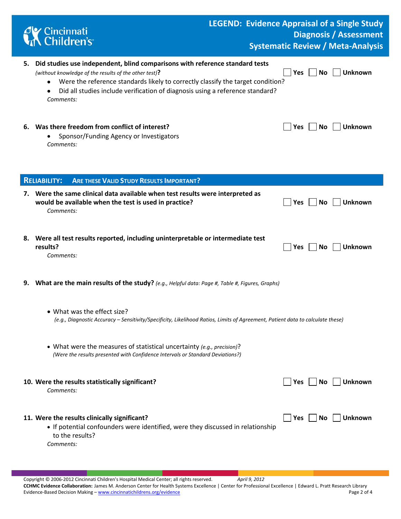| Cincinnati<br>K Children's                                                                                                                                                                                                                                                                                                     | <b>LEGEND: Evidence Appraisal of a Single Study</b> |            |           | <b>Diagnosis / Assessment</b><br><b>Systematic Review / Meta-Analysis</b> |
|--------------------------------------------------------------------------------------------------------------------------------------------------------------------------------------------------------------------------------------------------------------------------------------------------------------------------------|-----------------------------------------------------|------------|-----------|---------------------------------------------------------------------------|
| 5. Did studies use independent, blind comparisons with reference standard tests<br>(without knowledge of the results of the other test)?<br>Were the reference standards likely to correctly classify the target condition?<br>٠<br>Did all studies include verification of diagnosis using a reference standard?<br>Comments: |                                                     | <b>Yes</b> | <b>No</b> | <b>Unknown</b>                                                            |
| 6. Was there freedom from conflict of interest?<br>Sponsor/Funding Agency or Investigators<br>Comments:                                                                                                                                                                                                                        |                                                     | <b>Yes</b> | <b>No</b> | Unknown                                                                   |
| <b>ARE THESE VALID STUDY RESULTS IMPORTANT?</b><br><b>RELIABILITY:</b>                                                                                                                                                                                                                                                         |                                                     |            |           |                                                                           |
| 7. Were the same clinical data available when test results were interpreted as<br>would be available when the test is used in practice?<br>Comments:                                                                                                                                                                           |                                                     | Yes        | <b>No</b> | <b>Unknown</b>                                                            |
| 8. Were all test results reported, including uninterpretable or intermediate test<br>results?<br>Comments:                                                                                                                                                                                                                     |                                                     | Yes        | No.       | Unknown                                                                   |
| 9. What are the main results of the study? (e.g., Helpful data: Page #, Table #, Figures, Graphs)                                                                                                                                                                                                                              |                                                     |            |           |                                                                           |
| • What was the effect size?<br>(e.g., Diagnostic Accuracy - Sensitivity/Specificity, Likelihood Ratios, Limits of Agreement, Patient data to calculate these)                                                                                                                                                                  |                                                     |            |           |                                                                           |
| • What were the measures of statistical uncertainty (e.g., precision)?<br>(Were the results presented with Confidence Intervals or Standard Deviations?)                                                                                                                                                                       |                                                     |            |           |                                                                           |
| 10. Were the results statistically significant?<br>Comments:                                                                                                                                                                                                                                                                   |                                                     | Yes $ $    | No        | <b>Unknown</b>                                                            |
| 11. Were the results clinically significant?<br>• If potential confounders were identified, were they discussed in relationship<br>to the results?<br>Comments:                                                                                                                                                                |                                                     | Yes        | No.       | <b>Unknown</b>                                                            |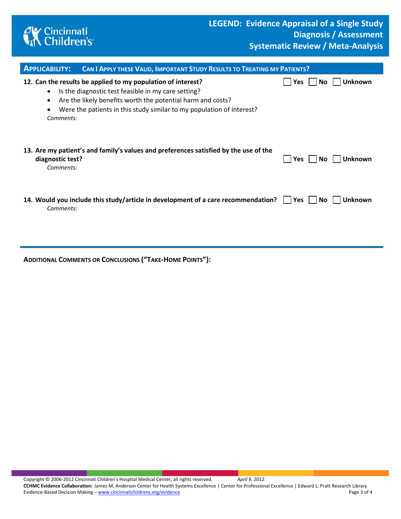

| <b>APPLICABILITY:</b>                                                                                                                                                                                                                                                                                                | <b>CAN I APPLY THESE VALID, IMPORTANT STUDY RESULTS TO TREATING MY PATIENTS?</b>     |     |      |                |  |  |  |  |  |
|----------------------------------------------------------------------------------------------------------------------------------------------------------------------------------------------------------------------------------------------------------------------------------------------------------------------|--------------------------------------------------------------------------------------|-----|------|----------------|--|--|--|--|--|
| 12. Can the results be applied to my population of interest?<br><b>Unknown</b><br><b>Yes</b><br>No.<br>Is the diagnostic test feasible in my care setting?<br>Are the likely benefits worth the potential harm and costs?<br>Were the patients in this study similar to my population of interest?<br>٠<br>Comments: |                                                                                      |     |      |                |  |  |  |  |  |
| diagnostic test?<br>Comments:                                                                                                                                                                                                                                                                                        | 13. Are my patient's and family's values and preferences satisfied by the use of the | Yes | No.  | <b>Unknown</b> |  |  |  |  |  |
| Comments:                                                                                                                                                                                                                                                                                                            | 14. Would you include this study/article in development of a care recommendation?    | Yes | No l | <b>Unknown</b> |  |  |  |  |  |

**ADDITIONAL COMMENTS OR CONCLUSIONS ("TAKE-HOME POINTS"):**